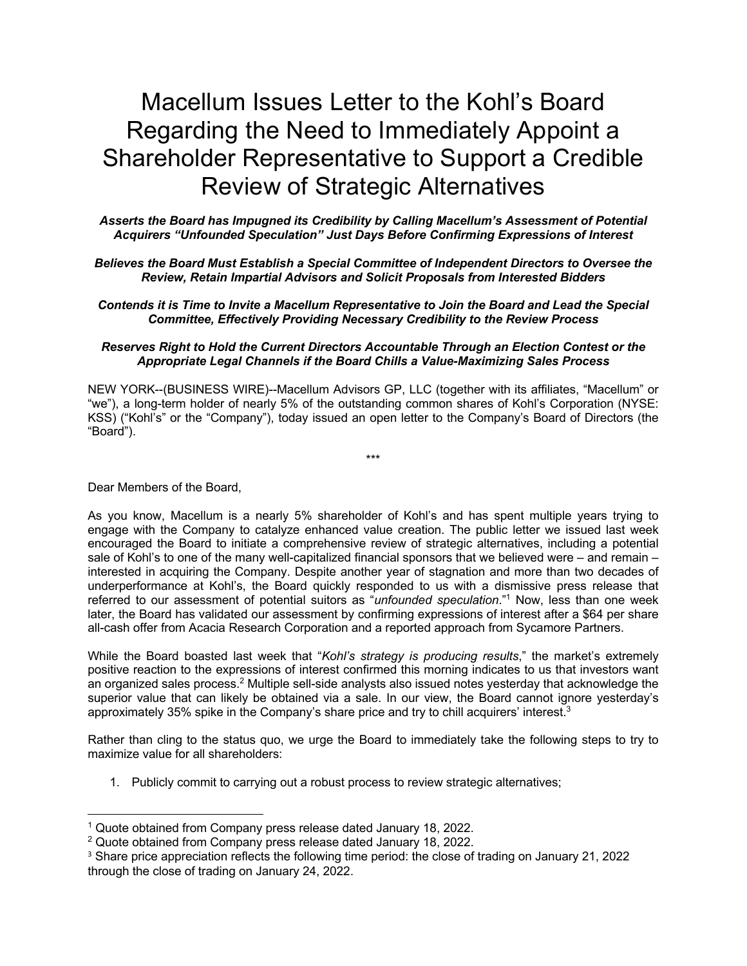# Macellum Issues Letter to the Kohl's Board Regarding the Need to Immediately Appoint a Shareholder Representative to Support a Credible Review of Strategic Alternatives

*Asserts the Board has Impugned its Credibility by Calling Macellum's Assessment of Potential Acquirers "Unfounded Speculation" Just Days Before Confirming Expressions of Interest*

#### *Believes the Board Must Establish a Special Committee of Independent Directors to Oversee the Review, Retain Impartial Advisors and Solicit Proposals from Interested Bidders*

#### *Contends it is Time to Invite a Macellum Representative to Join the Board and Lead the Special Committee, Effectively Providing Necessary Credibility to the Review Process*

#### *Reserves Right to Hold the Current Directors Accountable Through an Election Contest or the Appropriate Legal Channels if the Board Chills a Value-Maximizing Sales Process*

NEW YORK--(BUSINESS WIRE)--Macellum Advisors GP, LLC (together with its affiliates, "Macellum" or "we"), a long-term holder of nearly 5% of the outstanding common shares of Kohl's Corporation (NYSE: KSS) ("Kohl's" or the "Company"), today issued an open letter to the Company's Board of Directors (the "Board").

\*\*\*

Dear Members of the Board,

As you know, Macellum is a nearly 5% shareholder of Kohl's and has spent multiple years trying to engage with the Company to catalyze enhanced value creation. The public letter we issued last week encouraged the Board to initiate a comprehensive review of strategic alternatives, including a potential sale of Kohl's to one of the many well-capitalized financial sponsors that we believed were – and remain – interested in acquiring the Company. Despite another year of stagnation and more than two decades of underperformance at Kohl's, the Board quickly responded to us with a dismissive press release that referred to our assessment of potential suitors as "*unfounded speculation*."1 Now, less than one week later, the Board has validated our assessment by confirming expressions of interest after a \$64 per share all-cash offer from Acacia Research Corporation and a reported approach from Sycamore Partners.

While the Board boasted last week that "*Kohl's strategy is producing results*," the market's extremely positive reaction to the expressions of interest confirmed this morning indicates to us that investors want an organized sales process.<sup>2</sup> Multiple sell-side analysts also issued notes yesterday that acknowledge the superior value that can likely be obtained via a sale. In our view, the Board cannot ignore yesterday's approximately 35% spike in the Company's share price and try to chill acquirers' interest.3

Rather than cling to the status quo, we urge the Board to immediately take the following steps to try to maximize value for all shareholders:

1. Publicly commit to carrying out a robust process to review strategic alternatives;

<sup>1</sup> Quote obtained from Company press release dated January 18, 2022.

<sup>2</sup> Quote obtained from Company press release dated January 18, 2022.

<sup>3</sup> Share price appreciation reflects the following time period: the close of trading on January 21, 2022 through the close of trading on January 24, 2022.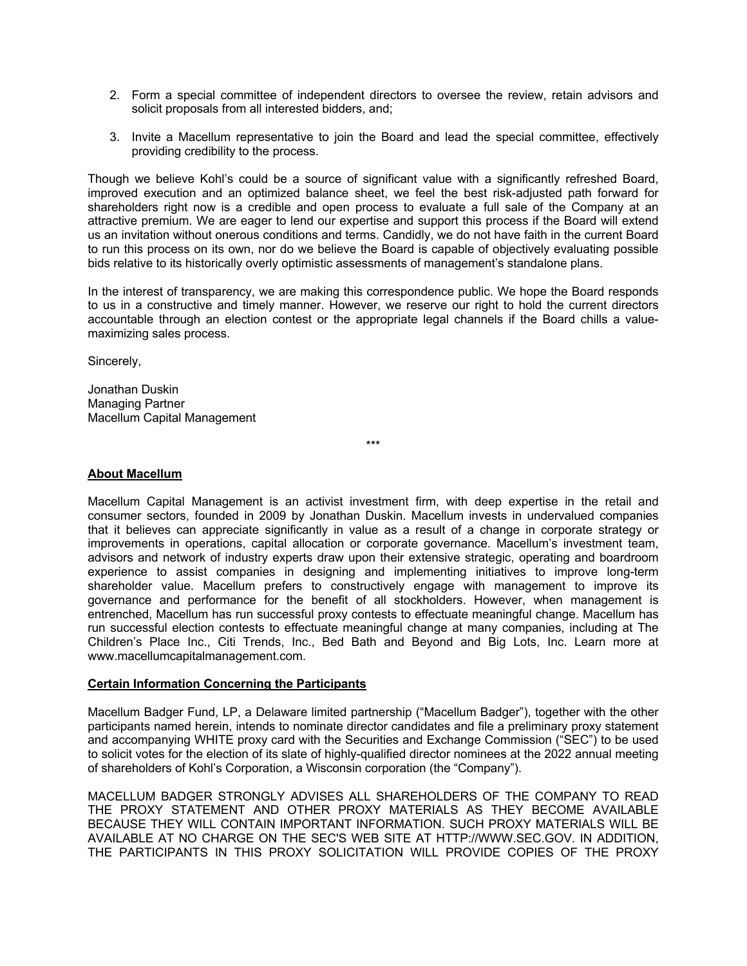- 2. Form a special committee of independent directors to oversee the review, retain advisors and solicit proposals from all interested bidders, and;
- 3. Invite a Macellum representative to join the Board and lead the special committee, effectively providing credibility to the process.

Though we believe Kohl's could be a source of significant value with a significantly refreshed Board, improved execution and an optimized balance sheet, we feel the best risk-adjusted path forward for shareholders right now is a credible and open process to evaluate a full sale of the Company at an attractive premium. We are eager to lend our expertise and support this process if the Board will extend us an invitation without onerous conditions and terms. Candidly, we do not have faith in the current Board to run this process on its own, nor do we believe the Board is capable of objectively evaluating possible bids relative to its historically overly optimistic assessments of management's standalone plans.

In the interest of transparency, we are making this correspondence public. We hope the Board responds to us in a constructive and timely manner. However, we reserve our right to hold the current directors accountable through an election contest or the appropriate legal channels if the Board chills a valuemaximizing sales process.

Sincerely,

Jonathan Duskin Managing Partner Macellum Capital Management

\*\*\*

## **About Macellum**

Macellum Capital Management is an activist investment firm, with deep expertise in the retail and consumer sectors, founded in 2009 by Jonathan Duskin. Macellum invests in undervalued companies that it believes can appreciate significantly in value as a result of a change in corporate strategy or improvements in operations, capital allocation or corporate governance. Macellum's investment team, advisors and network of industry experts draw upon their extensive strategic, operating and boardroom experience to assist companies in designing and implementing initiatives to improve long-term shareholder value. Macellum prefers to constructively engage with management to improve its governance and performance for the benefit of all stockholders. However, when management is entrenched, Macellum has run successful proxy contests to effectuate meaningful change. Macellum has run successful election contests to effectuate meaningful change at many companies, including at The Children's Place Inc., Citi Trends, Inc., Bed Bath and Beyond and Big Lots, Inc. Learn more at www.macellumcapitalmanagement.com.

# **Certain Information Concerning the Participants**

Macellum Badger Fund, LP, a Delaware limited partnership ("Macellum Badger"), together with the other participants named herein, intends to nominate director candidates and file a preliminary proxy statement and accompanying WHITE proxy card with the Securities and Exchange Commission ("SEC") to be used to solicit votes for the election of its slate of highly-qualified director nominees at the 2022 annual meeting of shareholders of Kohl's Corporation, a Wisconsin corporation (the "Company").

MACELLUM BADGER STRONGLY ADVISES ALL SHAREHOLDERS OF THE COMPANY TO READ THE PROXY STATEMENT AND OTHER PROXY MATERIALS AS THEY BECOME AVAILABLE BECAUSE THEY WILL CONTAIN IMPORTANT INFORMATION. SUCH PROXY MATERIALS WILL BE AVAILABLE AT NO CHARGE ON THE SEC'S WEB SITE AT HTTP://WWW.SEC.GOV. IN ADDITION, THE PARTICIPANTS IN THIS PROXY SOLICITATION WILL PROVIDE COPIES OF THE PROXY